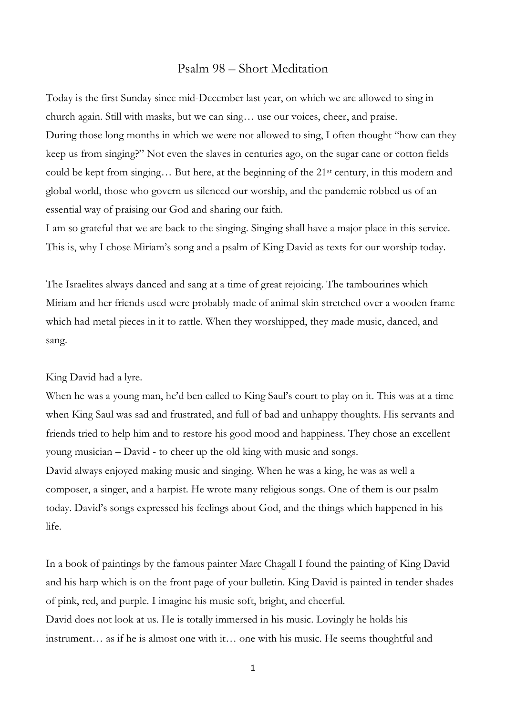## Psalm 98 – Short Meditation

Today is the first Sunday since mid-December last year, on which we are allowed to sing in church again. Still with masks, but we can sing… use our voices, cheer, and praise. During those long months in which we were not allowed to sing, I often thought "how can they keep us from singing?" Not even the slaves in centuries ago, on the sugar cane or cotton fields could be kept from singing... But here, at the beginning of the 21<sup>st</sup> century, in this modern and global world, those who govern us silenced our worship, and the pandemic robbed us of an essential way of praising our God and sharing our faith.

I am so grateful that we are back to the singing. Singing shall have a major place in this service. This is, why I chose Miriam's song and a psalm of King David as texts for our worship today.

The Israelites always danced and sang at a time of great rejoicing. The tambourines which Miriam and her friends used were probably made of animal skin stretched over a wooden frame which had metal pieces in it to rattle. When they worshipped, they made music, danced, and sang.

## King David had a lyre.

When he was a young man, he'd ben called to King Saul's court to play on it. This was at a time when King Saul was sad and frustrated, and full of bad and unhappy thoughts. His servants and friends tried to help him and to restore his good mood and happiness. They chose an excellent young musician – David - to cheer up the old king with music and songs. David always enjoyed making music and singing. When he was a king, he was as well a composer, a singer, and a harpist. He wrote many religious songs. One of them is our psalm today. David's songs expressed his feelings about God, and the things which happened in his life.

In a book of paintings by the famous painter Marc Chagall I found the painting of King David and his harp which is on the front page of your bulletin. King David is painted in tender shades of pink, red, and purple. I imagine his music soft, bright, and cheerful.

David does not look at us. He is totally immersed in his music. Lovingly he holds his instrument… as if he is almost one with it… one with his music. He seems thoughtful and